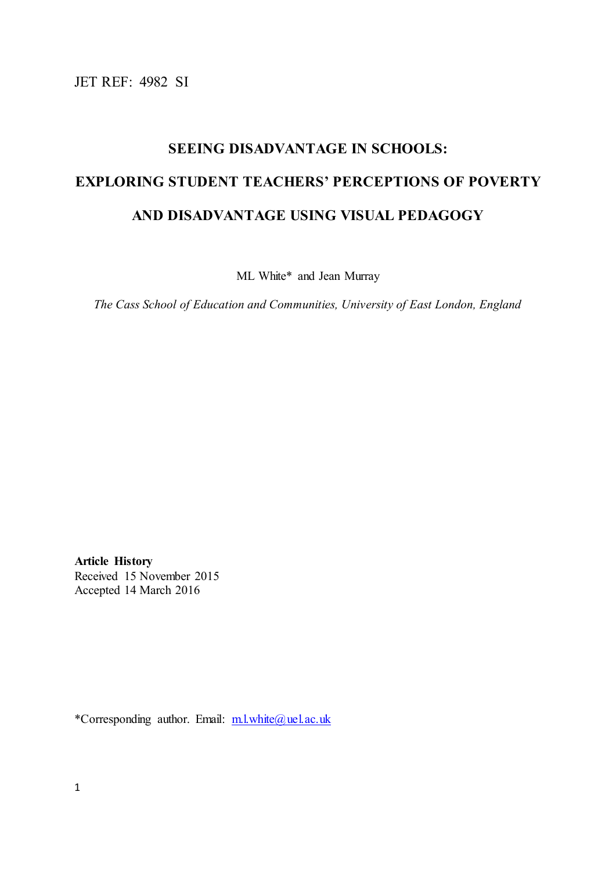JET REF: 4982 SI

# **SEEING DISADVANTAGE IN SCHOOLS: EXPLORING STUDENT TEACHERS' PERCEPTIONS OF POVERTY AND DISADVANTAGE USING VISUAL PEDAGOGY**

ML White\* and Jean Murray

*The Cass School of Education and Communities, University of East London, England*

**Article History** Received 15 November 2015 Accepted 14 March 2016

\*Corresponding author. Email:  $m.l. white@ue.l.ac.uk$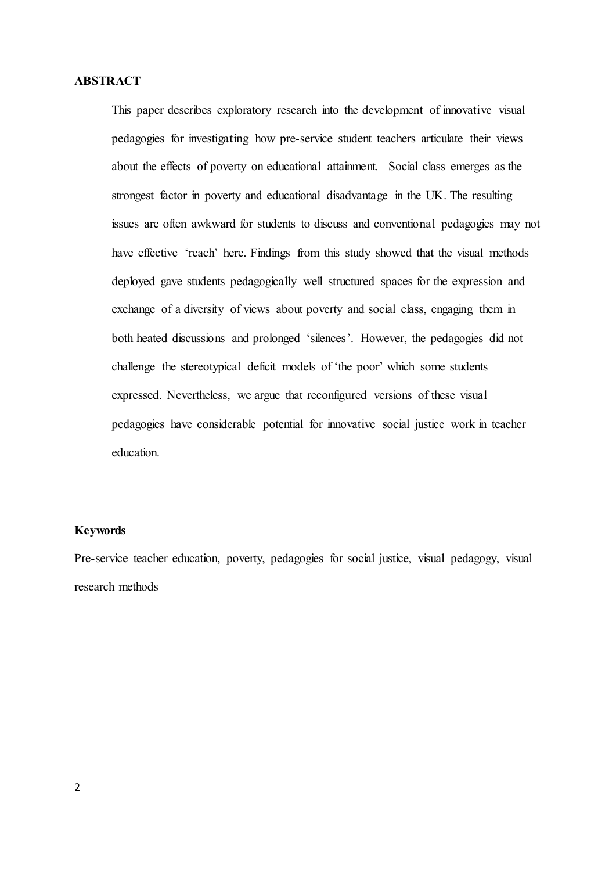#### **ABSTRACT**

This paper describes exploratory research into the development of innovative visual pedagogies for investigating how pre-service student teachers articulate their views about the effects of poverty on educational attainment. Social class emerges as the strongest factor in poverty and educational disadvantage in the UK. The resulting issues are often awkward for students to discuss and conventional pedagogies may not have effective 'reach' here. Findings from this study showed that the visual methods deployed gave students pedagogically well structured spaces for the expression and exchange of a diversity of views about poverty and social class, engaging them in both heated discussions and prolonged 'silences'. However, the pedagogies did not challenge the stereotypical deficit models of 'the poor' which some students expressed. Nevertheless, we argue that reconfigured versions of these visual pedagogies have considerable potential for innovative social justice work in teacher education.

# **Keywords**

Pre-service teacher education, poverty, pedagogies for social justice, visual pedagogy, visual research methods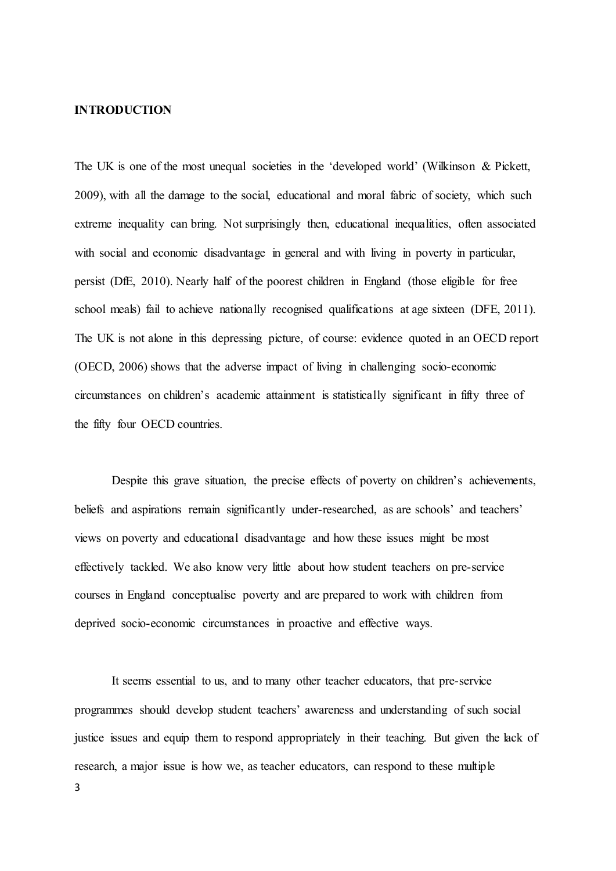# **INTRODUCTION**

The UK is one of the most unequal societies in the 'developed world' (Wilkinson & Pickett, 2009), with all the damage to the social, educational and moral fabric of society, which such extreme inequality can bring. Not surprisingly then, educational inequalities, often associated with social and economic disadvantage in general and with living in poverty in particular, persist (DfE, 2010). Nearly half of the poorest children in England (those eligible for free school meals) fail to achieve nationally recognised qualifications at age sixteen (DFE, 2011). The UK is not alone in this depressing picture, of course: evidence quoted in an OECD report (OECD, 2006) shows that the adverse impact of living in challenging socio-economic circumstances on children's academic attainment is statistically significant in fifty three of the fifty four OECD countries.

Despite this grave situation, the precise effects of poverty on children's achievements, beliefs and aspirations remain significantly under-researched, as are schools' and teachers' views on poverty and educational disadvantage and how these issues might be most effectively tackled. We also know very little about how student teachers on pre-service courses in England conceptualise poverty and are prepared to work with children from deprived socio-economic circumstances in proactive and effective ways.

It seems essential to us, and to many other teacher educators, that pre-service programmes should develop student teachers' awareness and understanding of such social justice issues and equip them to respond appropriately in their teaching. But given the lack of research, a major issue is how we, as teacher educators, can respond to these multiple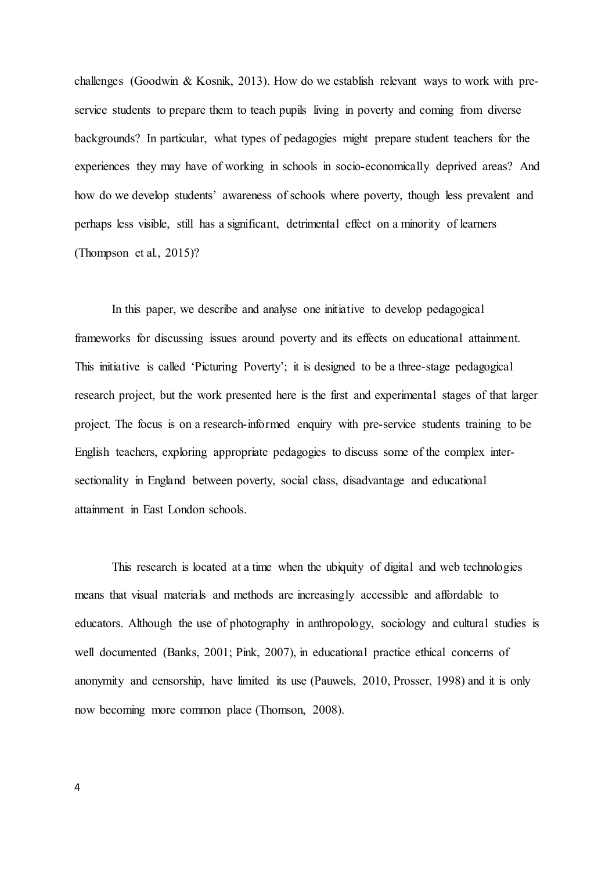challenges (Goodwin & Kosnik, 2013). How do we establish relevant ways to work with preservice students to prepare them to teach pupils living in poverty and coming from diverse backgrounds? In particular, what types of pedagogies might prepare student teachers for the experiences they may have of working in schools in socio-economically deprived areas? And how do we develop students' awareness of schools where poverty, though less prevalent and perhaps less visible, still has a significant, detrimental effect on a minority of learners (Thompson et al., 2015)?

In this paper, we describe and analyse one initiative to develop pedagogical frameworks for discussing issues around poverty and its effects on educational attainment. This initiative is called 'Picturing Poverty'; it is designed to be a three-stage pedagogical research project, but the work presented here is the first and experimental stages of that larger project. The focus is on a research-informed enquiry with pre-service students training to be English teachers, exploring appropriate pedagogies to discuss some of the complex intersectionality in England between poverty, social class, disadvantage and educational attainment in East London schools.

This research is located at a time when the ubiquity of digital and web technologies means that visual materials and methods are increasingly accessible and affordable to educators. Although the use of photography in anthropology, sociology and cultural studies is well documented (Banks, 2001; Pink, 2007), in educational practice ethical concerns of anonymity and censorship, have limited its use (Pauwels, 2010, Prosser, 1998) and it is only now becoming more common place (Thomson, 2008).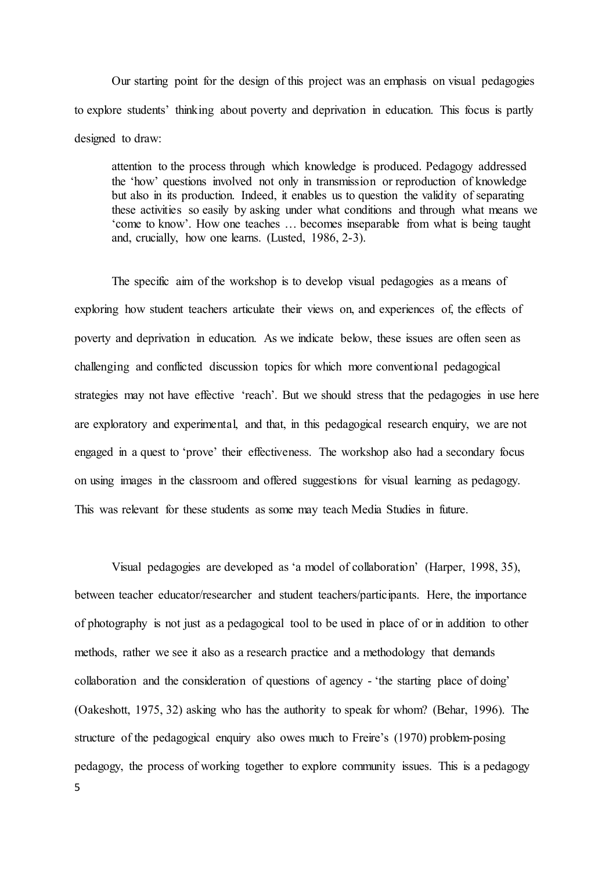Our starting point for the design of this project was an emphasis on visual pedagogies to explore students' thinking about poverty and deprivation in education. This focus is partly designed to draw:

attention to the process through which knowledge is produced. Pedagogy addressed the 'how' questions involved not only in transmission or reproduction of knowledge but also in its production. Indeed, it enables us to question the validity of separating these activities so easily by asking under what conditions and through what means we 'come to know'. How one teaches … becomes inseparable from what is being taught and, crucially, how one learns. (Lusted, 1986, 2-3).

The specific aim of the workshop is to develop visual pedagogies as a means of exploring how student teachers articulate their views on, and experiences of, the effects of poverty and deprivation in education. As we indicate below, these issues are often seen as challenging and conflicted discussion topics for which more conventional pedagogical strategies may not have effective 'reach'. But we should stress that the pedagogies in use here are exploratory and experimental, and that, in this pedagogical research enquiry, we are not engaged in a quest to 'prove' their effectiveness. The workshop also had a secondary focus on using images in the classroom and offered suggestions for visual learning as pedagogy. This was relevant for these students as some may teach Media Studies in future.

Visual pedagogies are developed as 'a model of collaboration' (Harper, 1998, 35), between teacher educator/researcher and student teachers/participants. Here, the importance of photography is not just as a pedagogical tool to be used in place of or in addition to other methods, rather we see it also as a research practice and a methodology that demands collaboration and the consideration of questions of agency - 'the starting place of doing' (Oakeshott, 1975, 32) asking who has the authority to speak for whom? (Behar, 1996). The structure of the pedagogical enquiry also owes much to Freire's (1970) problem-posing pedagogy, the process of working together to explore community issues. This is a pedagogy 5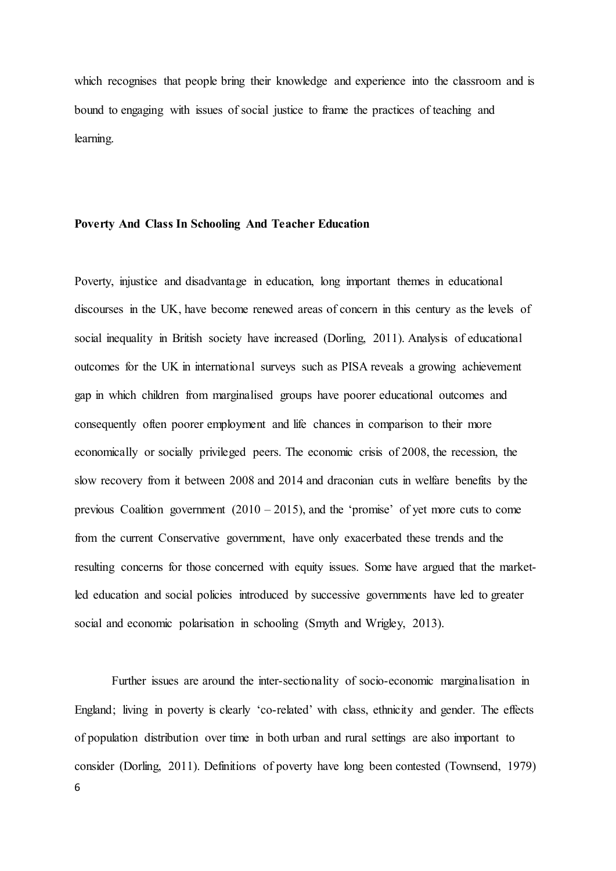which recognises that people bring their knowledge and experience into the classroom and is bound to engaging with issues of social justice to frame the practices of teaching and learning.

#### **Poverty And Class In Schooling And Teacher Education**

Poverty, injustice and disadvantage in education, long important themes in educational discourses in the UK, have become renewed areas of concern in this century as the levels of social inequality in British society have increased (Dorling, 2011). Analysis of educational outcomes for the UK in international surveys such as PISA reveals a growing achievement gap in which children from marginalised groups have poorer educational outcomes and consequently often poorer employment and life chances in comparison to their more economically or socially privileged peers. The economic crisis of 2008, the recession, the slow recovery from it between 2008 and 2014 and draconian cuts in welfare benefits by the previous Coalition government (2010 – 2015), and the 'promise' of yet more cuts to come from the current Conservative government, have only exacerbated these trends and the resulting concerns for those concerned with equity issues. Some have argued that the marketled education and social policies introduced by successive governments have led to greater social and economic polarisation in schooling (Smyth and Wrigley, 2013).

Further issues are around the inter-sectionality of socio-economic marginalisation in England; living in poverty is clearly 'co-related' with class, ethnicity and gender. The effects of population distribution over time in both urban and rural settings are also important to consider (Dorling, 2011). Definitions of poverty have long been contested (Townsend, 1979) 6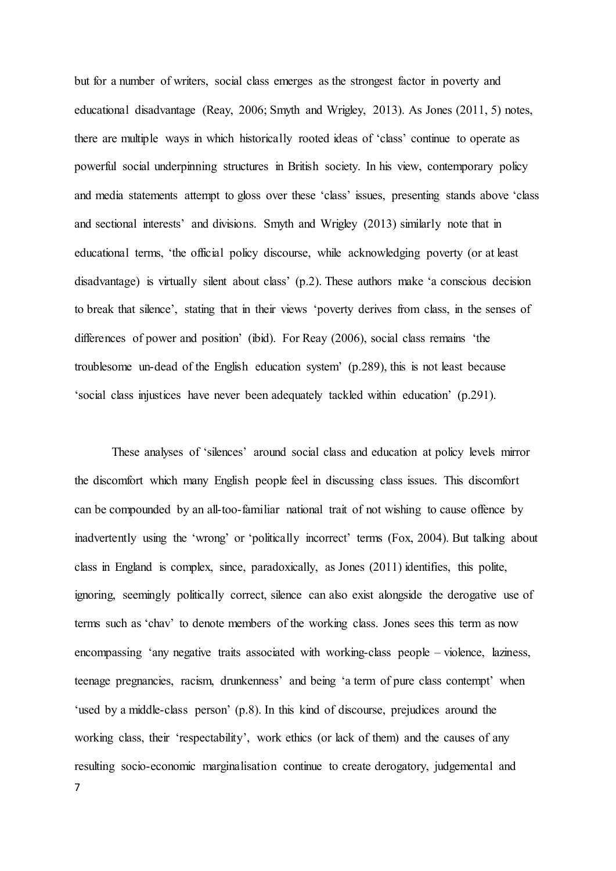but for a number of writers, social class emerges as the strongest factor in poverty and educational disadvantage (Reay, 2006; Smyth and Wrigley, 2013). As Jones (2011, 5) notes, there are multiple ways in which historically rooted ideas of 'class' continue to operate as powerful social underpinning structures in British society. In his view, contemporary policy and media statements attempt to gloss over these 'class' issues, presenting stands above 'class and sectional interests' and divisions. Smyth and Wrigley (2013) similarly note that in educational terms, 'the official policy discourse, while acknowledging poverty (or at least disadvantage) is virtually silent about class' (p.2). These authors make 'a conscious decision to break that silence', stating that in their views 'poverty derives from class, in the senses of differences of power and position' (ibid). For Reay (2006), social class remains 'the troublesome un-dead of the English education system' (p.289), this is not least because 'social class injustices have never been adequately tackled within education' (p.291).

These analyses of 'silences' around social class and education at policy levels mirror the discomfort which many English people feel in discussing class issues. This discomfort can be compounded by an all-too-familiar national trait of not wishing to cause offence by inadvertently using the 'wrong' or 'politically incorrect' terms (Fox, 2004). But talking about class in England is complex, since, paradoxically, as Jones (2011) identifies, this polite, ignoring, seemingly politically correct, silence can also exist alongside the derogative use of terms such as 'chav' to denote members of the working class. Jones sees this term as now encompassing 'any negative traits associated with working-class people – violence, laziness, teenage pregnancies, racism, drunkenness' and being 'a term of pure class contempt' when 'used by a middle-class person' (p.8). In this kind of discourse, prejudices around the working class, their 'respectability', work ethics (or lack of them) and the causes of any resulting socio-economic marginalisation continue to create derogatory, judgemental and

7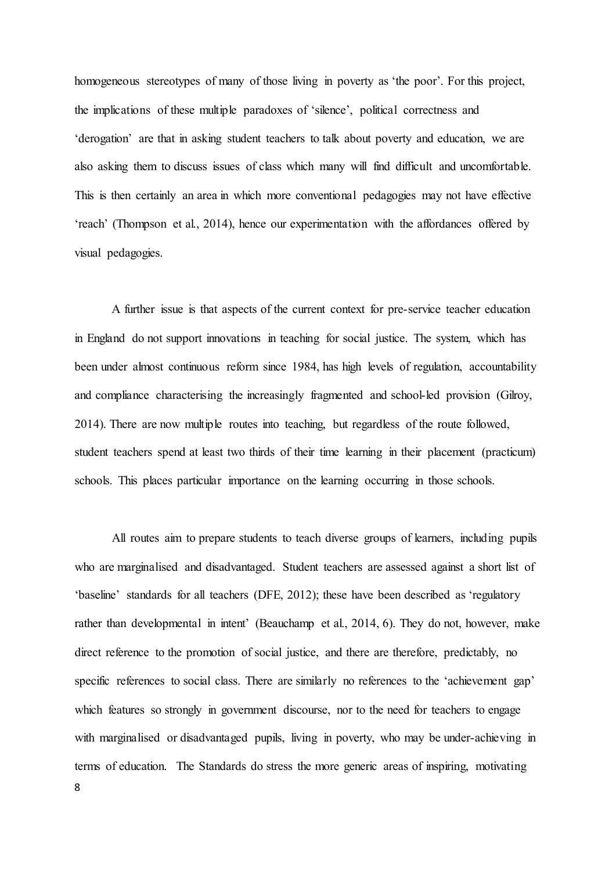homogeneous stereotypes of many of those living in poverty as 'the poor'. For this project, the implications of these multiple paradoxes of 'silence', political correctness and 'derogation' are that in asking student teachers to talk about poverty and education, we are also asking them to discuss issues of class which many will find difficult and uncomfortable. This is then certainly an area in which more conventional pedagogies may not have effective 'reach' (Thompson et al., 2014), hence our experimentation with the affordances offered by visual pedagogies.

A further issue is that aspects of the current context for pre-service teacher education in England do not support innovations in teaching for social justice. The system, which has been under almost continuous reform since 1984, has high levels of regulation, accountability and compliance characterising the increasingly fragmented and school-led provision (Gilroy, 2014). There are now multiple routes into teaching, but regardless of the route followed, student teachers spend at least two thirds of their time learning in their placement (practicum) schools. This places particular importance on the learning occurring in those schools.

All routes aim to prepare students to teach diverse groups of learners, including pupils who are marginalised and disadvantaged. Student teachers are assessed against a short list of 'baseline' standards for all teachers (DFE, 2012); these have been described as 'regulatory rather than developmental in intent' (Beauchamp et al., 2014, 6). They do not, however, make direct reference to the promotion of social justice, and there are therefore, predictably, no specific references to social class. There are similarly no references to the 'achievement gap' which features so strongly in government discourse, nor to the need for teachers to engage with marginalised or disadvantaged pupils, living in poverty, who may be under-achieving in terms of education. The Standards do stress the more generic areas of inspiring, motivating

8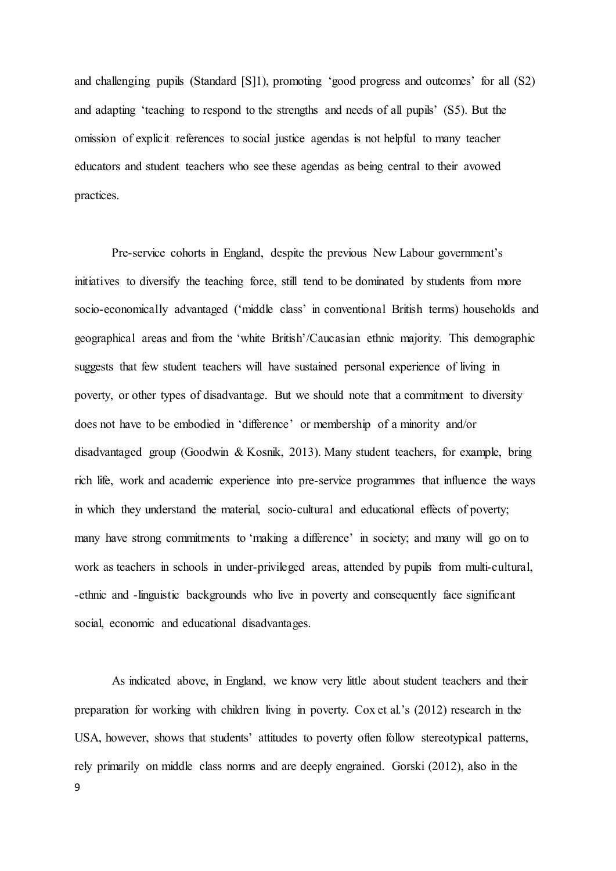and challenging pupils (Standard [S]1), promoting 'good progress and outcomes' for all (S2) and adapting 'teaching to respond to the strengths and needs of all pupils' (S5). But the omission of explicit references to social justice agendas is not helpful to many teacher educators and student teachers who see these agendas as being central to their avowed practices.

Pre-service cohorts in England, despite the previous New Labour government's initiatives to diversify the teaching force, still tend to be dominated by students from more socio-economically advantaged ('middle class' in conventional British terms) households and geographical areas and from the 'white British'/Caucasian ethnic majority. This demographic suggests that few student teachers will have sustained personal experience of living in poverty, or other types of disadvantage. But we should note that a commitment to diversity does not have to be embodied in 'difference' or membership of a minority and/or disadvantaged group (Goodwin & Kosnik, 2013). Many student teachers, for example, bring rich life, work and academic experience into pre-service programmes that influence the ways in which they understand the material, socio-cultural and educational effects of poverty; many have strong commitments to 'making a difference' in society; and many will go on to work as teachers in schools in under-privileged areas, attended by pupils from multi-cultural, -ethnic and -linguistic backgrounds who live in poverty and consequently face significant social, economic and educational disadvantages.

As indicated above, in England, we know very little about student teachers and their preparation for working with children living in poverty. Cox et al.'s (2012) research in the USA, however, shows that students' attitudes to poverty often follow stereotypical patterns, rely primarily on middle class norms and are deeply engrained. Gorski (2012), also in the 9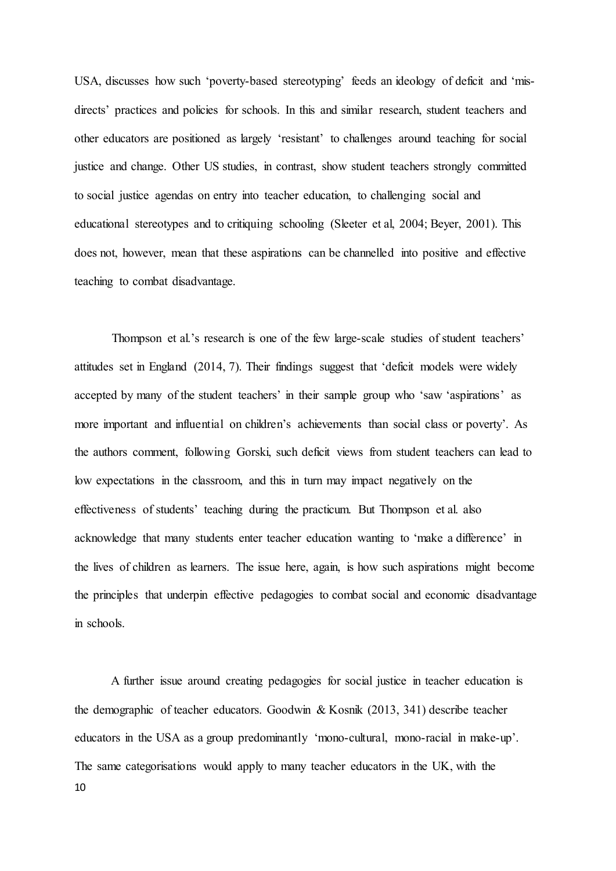USA, discusses how such 'poverty-based stereotyping' feeds an ideology of deficit and 'misdirects' practices and policies for schools. In this and similar research, student teachers and other educators are positioned as largely 'resistant' to challenges around teaching for social justice and change. Other US studies, in contrast, show student teachers strongly committed to social justice agendas on entry into teacher education, to challenging social and educational stereotypes and to critiquing schooling (Sleeter et al, 2004; Beyer, 2001). This does not, however, mean that these aspirations can be channelled into positive and effective teaching to combat disadvantage.

Thompson et al.'s research is one of the few large-scale studies of student teachers' attitudes set in England (2014, 7). Their findings suggest that 'deficit models were widely accepted by many of the student teachers' in their sample group who 'saw 'aspirations' as more important and influential on children's achievements than social class or poverty'. As the authors comment, following Gorski, such deficit views from student teachers can lead to low expectations in the classroom, and this in turn may impact negatively on the effectiveness of students' teaching during the practicum. But Thompson et al. also acknowledge that many students enter teacher education wanting to 'make a difference' in the lives of children as learners. The issue here, again, is how such aspirations might become the principles that underpin effective pedagogies to combat social and economic disadvantage in schools.

A further issue around creating pedagogies for social justice in teacher education is the demographic of teacher educators. Goodwin & Kosnik (2013, 341) describe teacher educators in the USA as a group predominantly 'mono-cultural, mono-racial in make-up'. The same categorisations would apply to many teacher educators in the UK, with the 10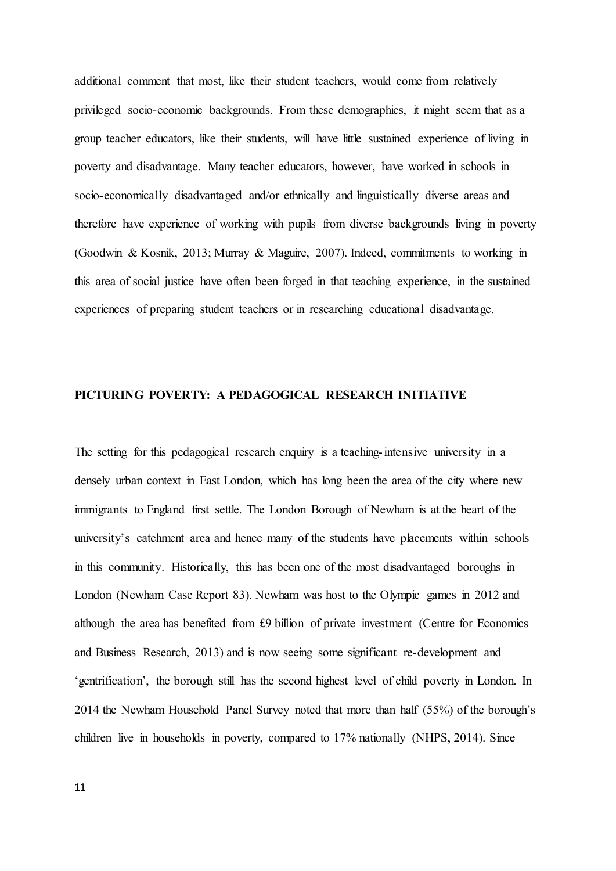additional comment that most, like their student teachers, would come from relatively privileged socio-economic backgrounds. From these demographics, it might seem that as a group teacher educators, like their students, will have little sustained experience of living in poverty and disadvantage. Many teacher educators, however, have worked in schools in socio-economically disadvantaged and/or ethnically and linguistically diverse areas and therefore have experience of working with pupils from diverse backgrounds living in poverty (Goodwin & Kosnik, 2013; Murray & Maguire, 2007). Indeed, commitments to working in this area of social justice have often been forged in that teaching experience, in the sustained experiences of preparing student teachers or in researching educational disadvantage.

#### **PICTURING POVERTY: A PEDAGOGICAL RESEARCH INITIATIVE**

The setting for this pedagogical research enquiry is a teaching-intensive university in a densely urban context in East London, which has long been the area of the city where new immigrants to England first settle. The London Borough of Newham is at the heart of the university's catchment area and hence many of the students have placements within schools in this community. Historically, this has been one of the most disadvantaged boroughs in London (Newham Case Report 83). Newham was host to the Olympic games in 2012 and although the area has benefited from £9 billion of private investment (Centre for Economics and Business Research, 2013) and is now seeing some significant re-development and 'gentrification', the borough still has the second highest level of child poverty in London. In 2014 the Newham Household Panel Survey noted that more than half (55%) of the borough's children live in households in poverty, compared to 17% nationally (NHPS, 2014). Since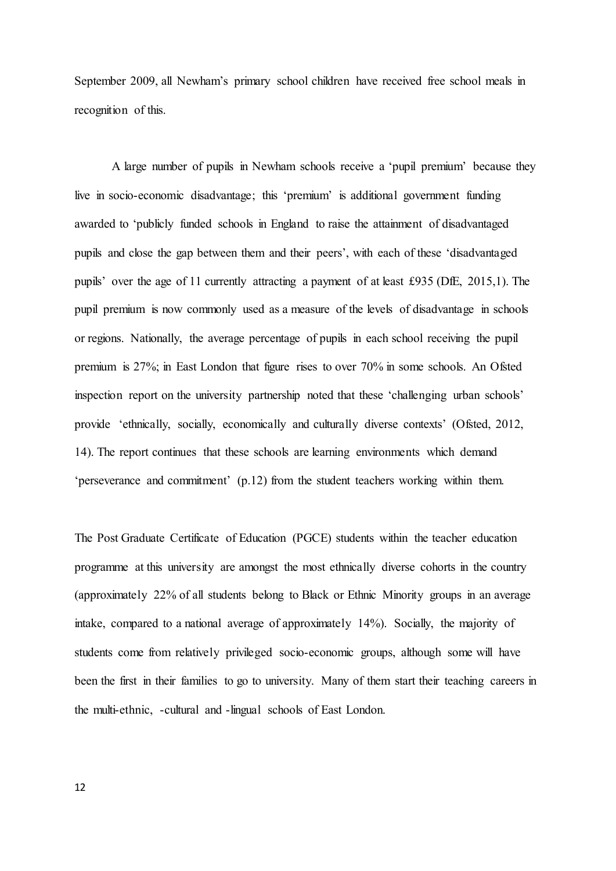September 2009, all Newham's primary school children have received free school meals in recognition of this.

A large number of pupils in Newham schools receive a 'pupil premium' because they live in socio-economic disadvantage; this 'premium' is additional government funding awarded to 'publicly funded schools in England to raise the attainment of disadvantaged pupils and close the gap between them and their peers', with each of these 'disadvantaged pupils' over the age of 11 currently attracting a payment of at least £935 (DfE, 2015,1). The pupil premium is now commonly used as a measure of the levels of disadvantage in schools or regions. Nationally, the average percentage of pupils in each school receiving the pupil premium is 27%; in East London that figure rises to over 70% in some schools. An Ofsted inspection report on the university partnership noted that these 'challenging urban schools' provide 'ethnically, socially, economically and culturally diverse contexts' (Ofsted, 2012, 14). The report continues that these schools are learning environments which demand 'perseverance and commitment' (p.12) from the student teachers working within them.

The Post Graduate Certificate of Education (PGCE) students within the teacher education programme at this university are amongst the most ethnically diverse cohorts in the country (approximately 22% of all students belong to Black or Ethnic Minority groups in an average intake, compared to a national average of approximately 14%). Socially, the majority of students come from relatively privileged socio-economic groups, although some will have been the first in their families to go to university. Many of them start their teaching careers in the multi-ethnic, -cultural and -lingual schools of East London.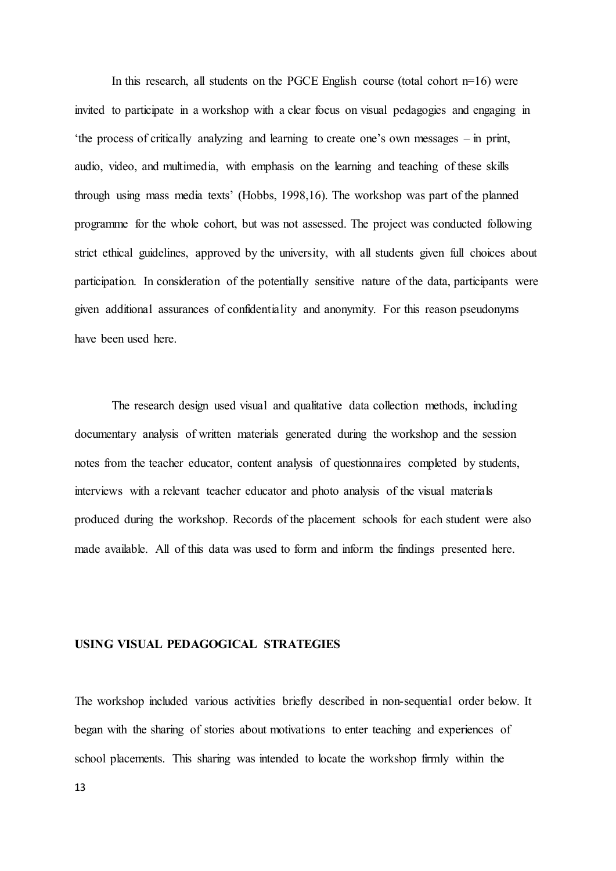In this research, all students on the PGCE English course (total cohort  $n=16$ ) were invited to participate in a workshop with a clear focus on visual pedagogies and engaging in 'the process of critically analyzing and learning to create one's own messages – in print, audio, video, and multimedia, with emphasis on the learning and teaching of these skills through using mass media texts' (Hobbs, 1998,16). The workshop was part of the planned programme for the whole cohort, but was not assessed. The project was conducted following strict ethical guidelines, approved by the university, with all students given full choices about participation. In consideration of the potentially sensitive nature of the data, participants were given additional assurances of confidentiality and anonymity. For this reason pseudonyms have been used here.

The research design used visual and qualitative data collection methods, including documentary analysis of written materials generated during the workshop and the session notes from the teacher educator, content analysis of questionnaires completed by students, interviews with a relevant teacher educator and photo analysis of the visual materials produced during the workshop. Records of the placement schools for each student were also made available. All of this data was used to form and inform the findings presented here.

#### **USING VISUAL PEDAGOGICAL STRATEGIES**

The workshop included various activities briefly described in non-sequential order below. It began with the sharing of stories about motivations to enter teaching and experiences of school placements. This sharing was intended to locate the workshop firmly within the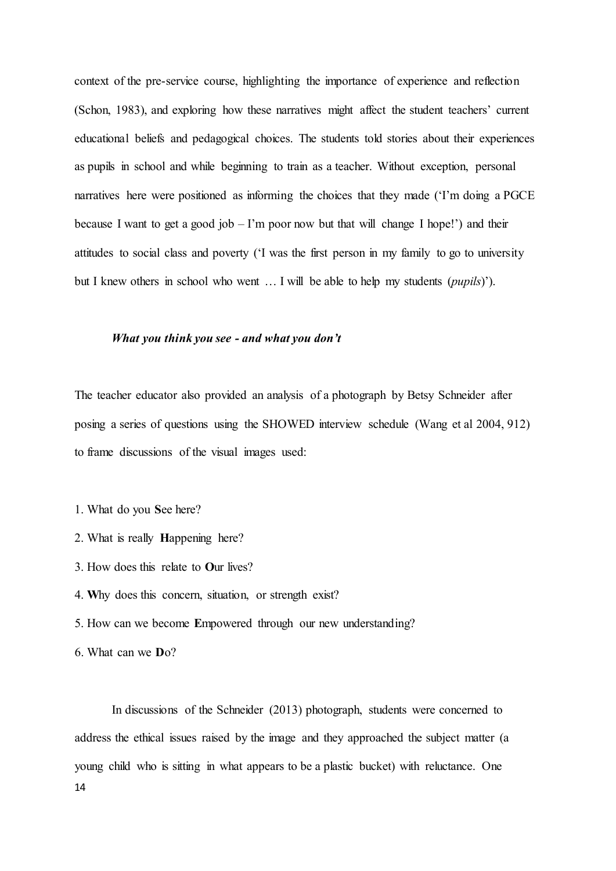context of the pre-service course, highlighting the importance of experience and reflection (Schon, 1983), and exploring how these narratives might affect the student teachers' current educational beliefs and pedagogical choices. The students told stories about their experiences as pupils in school and while beginning to train as a teacher. Without exception, personal narratives here were positioned as informing the choices that they made ('I'm doing a PGCE because I want to get a good job  $-I'm$  poor now but that will change I hope!') and their attitudes to social class and poverty ('I was the first person in my family to go to university but I knew others in school who went … I will be able to help my students (*pupils*)').

#### *What you think you see - and what you don't*

The teacher educator also provided an analysis of a photograph by Betsy Schneider after posing a series of questions using the SHOWED interview schedule (Wang et al 2004, 912) to frame discussions of the visual images used:

- 1. What do you **S**ee here?
- 2. What is really **H**appening here?
- 3. How does this relate to **O**ur lives?
- 4. **W**hy does this concern, situation, or strength exist?
- 5. How can we become **E**mpowered through our new understanding?
- 6. What can we **D**o?

In discussions of the Schneider (2013) photograph, students were concerned to address the ethical issues raised by the image and they approached the subject matter (a young child who is sitting in what appears to be a plastic bucket) with reluctance. One 14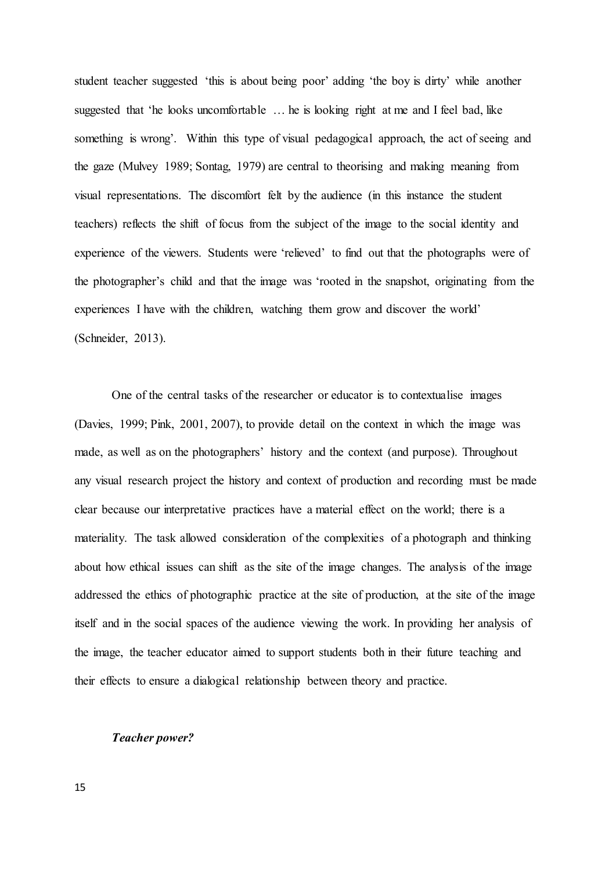student teacher suggested 'this is about being poor' adding 'the boy is dirty' while another suggested that 'he looks uncomfortable … he is looking right at me and I feel bad, like something is wrong'. Within this type of visual pedagogical approach, the act of seeing and the gaze (Mulvey 1989; Sontag, 1979) are central to theorising and making meaning from visual representations. The discomfort felt by the audience (in this instance the student teachers) reflects the shift of focus from the subject of the image to the social identity and experience of the viewers. Students were 'relieved' to find out that the photographs were of the photographer's child and that the image was 'rooted in the snapshot, originating from the experiences I have with the children, watching them grow and discover the world' (Schneider, 2013).

One of the central tasks of the researcher or educator is to contextualise images (Davies, 1999; Pink, 2001, 2007), to provide detail on the context in which the image was made, as well as on the photographers' history and the context (and purpose). Throughout any visual research project the history and context of production and recording must be made clear because our interpretative practices have a material effect on the world; there is a materiality. The task allowed consideration of the complexities of a photograph and thinking about how ethical issues can shift as the site of the image changes. The analysis of the image addressed the ethics of photographic practice at the site of production, at the site of the image itself and in the social spaces of the audience viewing the work. In providing her analysis of the image, the teacher educator aimed to support students both in their future teaching and their effects to ensure a dialogical relationship between theory and practice.

#### *Teacher power?*

15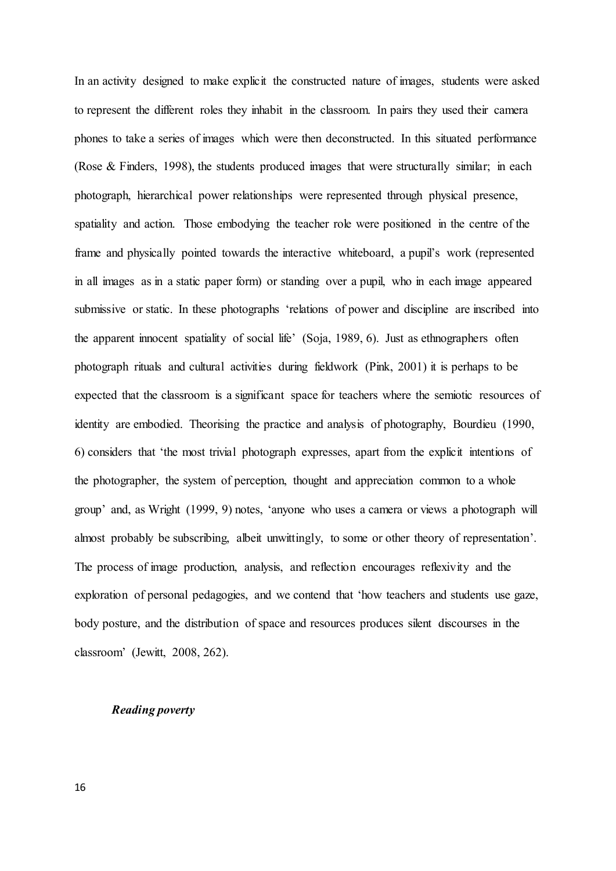In an activity designed to make explicit the constructed nature of images, students were asked to represent the different roles they inhabit in the classroom. In pairs they used their camera phones to take a series of images which were then deconstructed. In this situated performance (Rose & Finders, 1998), the students produced images that were structurally similar; in each photograph, hierarchical power relationships were represented through physical presence, spatiality and action. Those embodying the teacher role were positioned in the centre of the frame and physically pointed towards the interactive whiteboard, a pupil's work (represented in all images as in a static paper form) or standing over a pupil, who in each image appeared submissive or static. In these photographs 'relations of power and discipline are inscribed into the apparent innocent spatiality of social life' (Soja, 1989, 6). Just as ethnographers often photograph rituals and cultural activities during fieldwork (Pink, 2001) it is perhaps to be expected that the classroom is a significant space for teachers where the semiotic resources of identity are embodied. Theorising the practice and analysis of photography, Bourdieu (1990, 6) considers that 'the most trivial photograph expresses, apart from the explicit intentions of the photographer, the system of perception, thought and appreciation common to a whole group' and, as Wright (1999, 9) notes, 'anyone who uses a camera or views a photograph will almost probably be subscribing, albeit unwittingly, to some or other theory of representation'. The process of image production, analysis, and reflection encourages reflexivity and the exploration of personal pedagogies, and we contend that 'how teachers and students use gaze, body posture, and the distribution of space and resources produces silent discourses in the classroom' (Jewitt, 2008, 262).

#### *Reading poverty*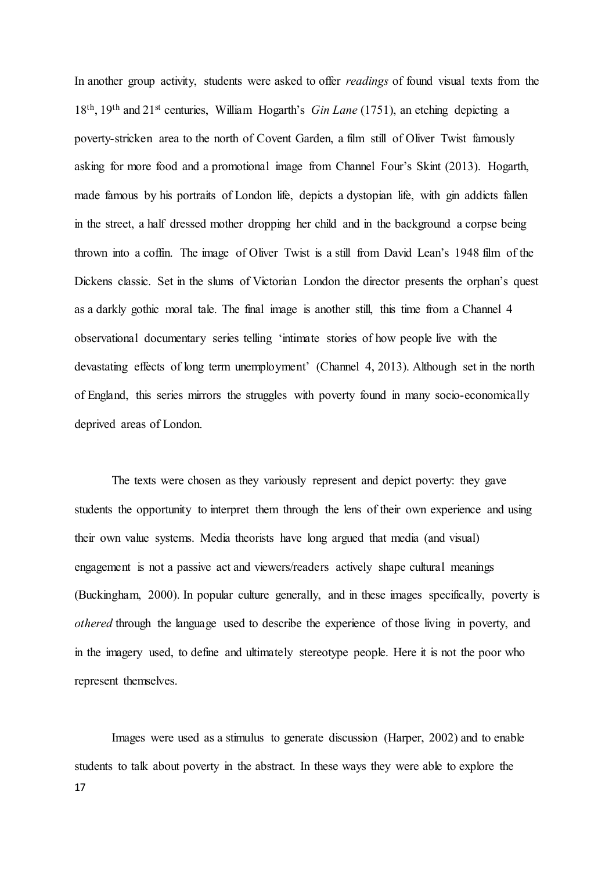In another group activity, students were asked to offer *readings* of found visual texts from the 18th, 19th and 21st centuries, William Hogarth's *Gin Lane* (1751), an etching depicting a poverty-stricken area to the north of Covent Garden, a film still of Oliver Twist famously asking for more food and a promotional image from Channel Four's Skint (2013). Hogarth, made famous by his portraits of London life, depicts a dystopian life, with gin addicts fallen in the street, a half dressed mother dropping her child and in the background a corpse being thrown into a coffin. The image of Oliver Twist is a still from David Lean's 1948 film of the Dickens classic. Set in the slums of Victorian London the director presents the orphan's quest as a darkly gothic moral tale. The final image is another still, this time from a Channel 4 observational documentary series telling 'intimate stories of how people live with the devastating effects of long term unemployment' (Channel 4, 2013). Although set in the north of England, this series mirrors the struggles with poverty found in many socio-economically deprived areas of London.

The texts were chosen as they variously represent and depict poverty: they gave students the opportunity to interpret them through the lens of their own experience and using their own value systems. Media theorists have long argued that media (and visual) engagement is not a passive act and viewers/readers actively shape cultural meanings (Buckingham, 2000). In popular culture generally, and in these images specifically, poverty is *othered* through the language used to describe the experience of those living in poverty, and in the imagery used, to define and ultimately stereotype people. Here it is not the poor who represent themselves.

Images were used as a stimulus to generate discussion (Harper, 2002) and to enable students to talk about poverty in the abstract. In these ways they were able to explore the 17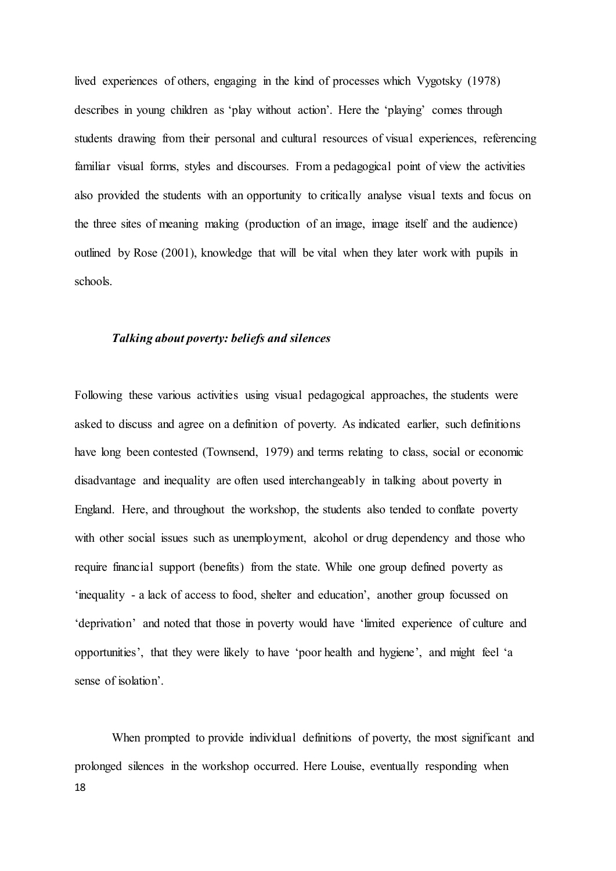lived experiences of others, engaging in the kind of processes which Vygotsky (1978) describes in young children as 'play without action'. Here the 'playing' comes through students drawing from their personal and cultural resources of visual experiences, referencing familiar visual forms, styles and discourses. From a pedagogical point of view the activities also provided the students with an opportunity to critically analyse visual texts and focus on the three sites of meaning making (production of an image, image itself and the audience) outlined by Rose (2001), knowledge that will be vital when they later work with pupils in schools.

# *Talking about poverty: beliefs and silences*

Following these various activities using visual pedagogical approaches, the students were asked to discuss and agree on a definition of poverty. As indicated earlier, such definitions have long been contested (Townsend, 1979) and terms relating to class, social or economic disadvantage and inequality are often used interchangeably in talking about poverty in England. Here, and throughout the workshop, the students also tended to conflate poverty with other social issues such as unemployment, alcohol or drug dependency and those who require financial support (benefits) from the state. While one group defined poverty as 'inequality - a lack of access to food, shelter and education', another group focussed on 'deprivation' and noted that those in poverty would have 'limited experience of culture and opportunities', that they were likely to have 'poor health and hygiene', and might feel 'a sense of isolation'.

When prompted to provide individual definitions of poverty, the most significant and prolonged silences in the workshop occurred. Here Louise, eventually responding when 18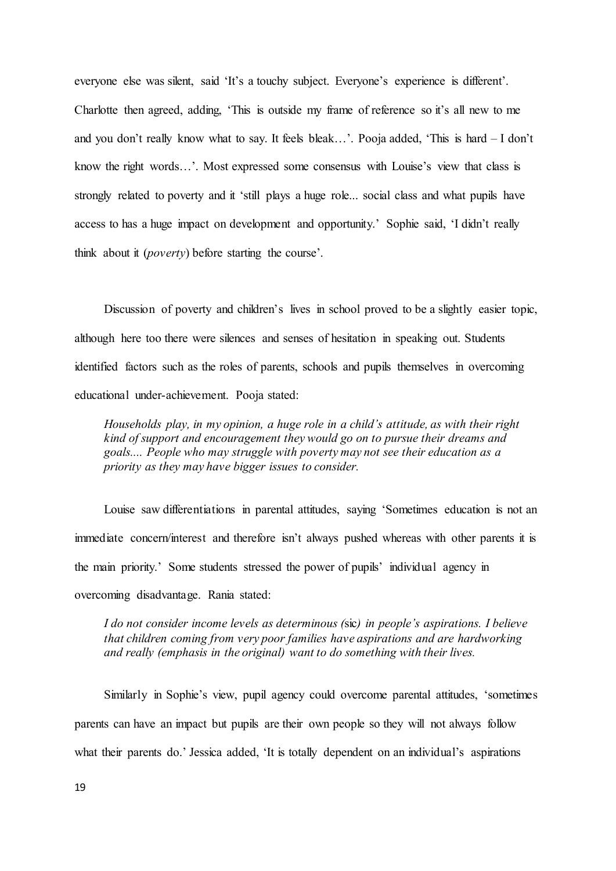everyone else was silent, said 'It's a touchy subject. Everyone's experience is different'. Charlotte then agreed, adding, 'This is outside my frame of reference so it's all new to me and you don't really know what to say. It feels bleak…'. Pooja added, 'This is hard – I don't know the right words…'. Most expressed some consensus with Louise's view that class is strongly related to poverty and it 'still plays a huge role... social class and what pupils have access to has a huge impact on development and opportunity.' Sophie said, 'I didn't really think about it (*poverty*) before starting the course'.

Discussion of poverty and children's lives in school proved to be a slightly easier topic, although here too there were silences and senses of hesitation in speaking out. Students identified factors such as the roles of parents, schools and pupils themselves in overcoming educational under-achievement. Pooja stated:

*Households play, in my opinion, a huge role in a child's attitude, as with their right kind of support and encouragement they would go on to pursue their dreams and goals.... People who may struggle with poverty may not see their education as a priority as they may have bigger issues to consider.*

Louise saw differentiations in parental attitudes, saying 'Sometimes education is not an immediate concern/interest and therefore isn't always pushed whereas with other parents it is the main priority.' Some students stressed the power of pupils' individual agency in overcoming disadvantage. Rania stated:

*I do not consider income levels as determinous (*sic*) in people's aspirations. I believe that children coming from very poor families have aspirations and are hardworking and really (emphasis in the original) want to do something with their lives.* 

Similarly in Sophie's view, pupil agency could overcome parental attitudes, 'sometimes parents can have an impact but pupils are their own people so they will not always follow what their parents do.' Jessica added, 'It is totally dependent on an individual's aspirations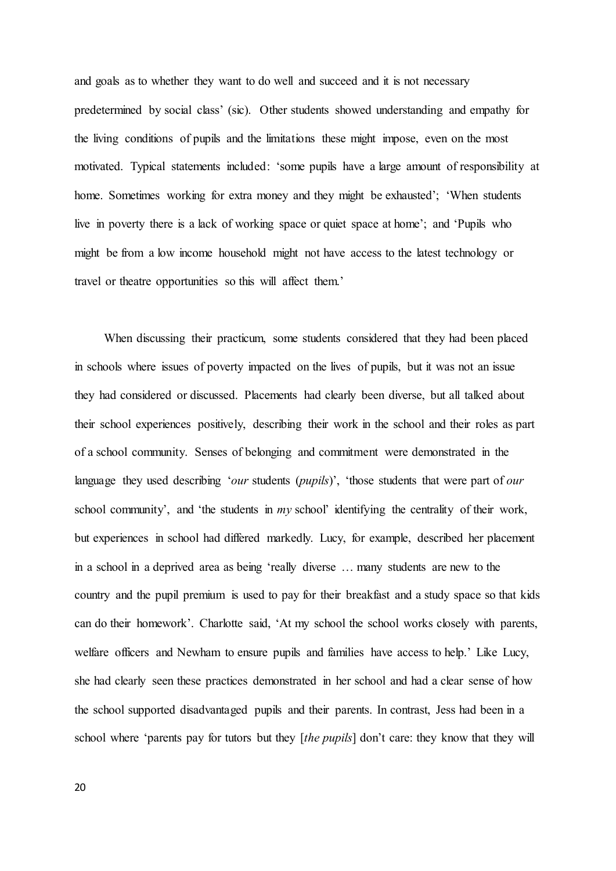and goals as to whether they want to do well and succeed and it is not necessary predetermined by social class' (sic). Other students showed understanding and empathy for the living conditions of pupils and the limitations these might impose, even on the most motivated. Typical statements included: 'some pupils have a large amount of responsibility at home. Sometimes working for extra money and they might be exhausted'; 'When students live in poverty there is a lack of working space or quiet space at home'; and 'Pupils who might be from a low income household might not have access to the latest technology or travel or theatre opportunities so this will affect them.'

When discussing their practicum, some students considered that they had been placed in schools where issues of poverty impacted on the lives of pupils, but it was not an issue they had considered or discussed. Placements had clearly been diverse, but all talked about their school experiences positively, describing their work in the school and their roles as part of a school community. Senses of belonging and commitment were demonstrated in the language they used describing '*our* students (*pupils*)', 'those students that were part of *our* school community', and 'the students in *my* school' identifying the centrality of their work, but experiences in school had differed markedly. Lucy, for example, described her placement in a school in a deprived area as being 'really diverse … many students are new to the country and the pupil premium is used to pay for their breakfast and a study space so that kids can do their homework'. Charlotte said, 'At my school the school works closely with parents, welfare officers and Newham to ensure pupils and families have access to help.' Like Lucy, she had clearly seen these practices demonstrated in her school and had a clear sense of how the school supported disadvantaged pupils and their parents. In contrast, Jess had been in a school where 'parents pay for tutors but they [*the pupils*] don't care: they know that they will

20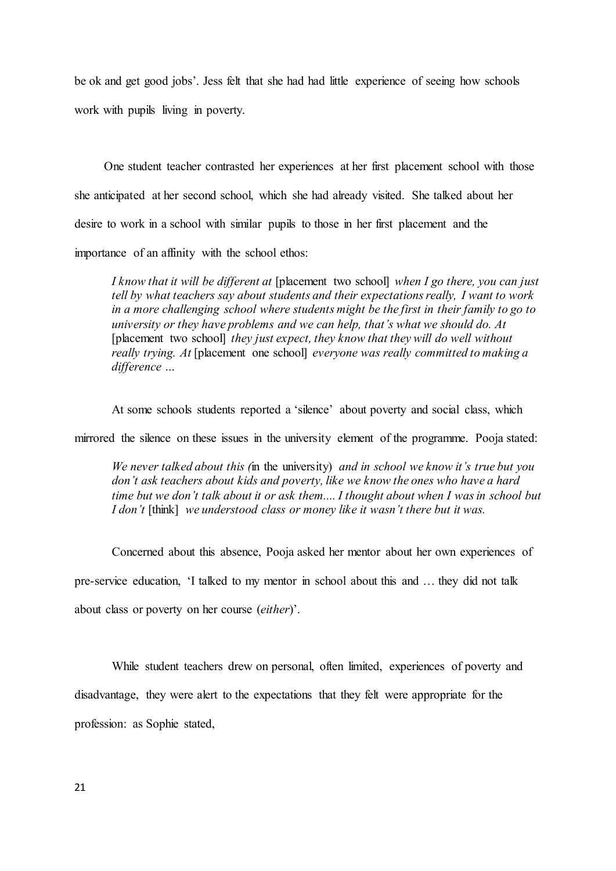be ok and get good jobs'. Jess felt that she had had little experience of seeing how schools work with pupils living in poverty.

One student teacher contrasted her experiences at her first placement school with those she anticipated at her second school, which she had already visited. She talked about her desire to work in a school with similar pupils to those in her first placement and the importance of an affinity with the school ethos:

*I know that it will be different at* [placement two school] *when I go there, you can just tell by what teachers say about students and their expectations really, I want to work in a more challenging school where students might be the first in their family to go to university or they have problems and we can help, that's what we should do. At*  [placement two school] *they just expect, they know that they will do well without really trying. At* [placement one school] *everyone was really committed to making a difference …* 

At some schools students reported a 'silence' about poverty and social class, which

mirrored the silence on these issues in the university element of the programme. Pooja stated:

*We never talked about this (*in the university) *and in school we know it's true but you don't ask teachers about kids and poverty, like we know the ones who have a hard time but we don't talk about it or ask them.... I thought about when I was in school but I don't* [think] *we understood class or money like it wasn't there but it was.*

Concerned about this absence, Pooja asked her mentor about her own experiences of pre-service education, 'I talked to my mentor in school about this and … they did not talk about class or poverty on her course (*either*)'.

While student teachers drew on personal, often limited, experiences of poverty and disadvantage, they were alert to the expectations that they felt were appropriate for the profession: as Sophie stated,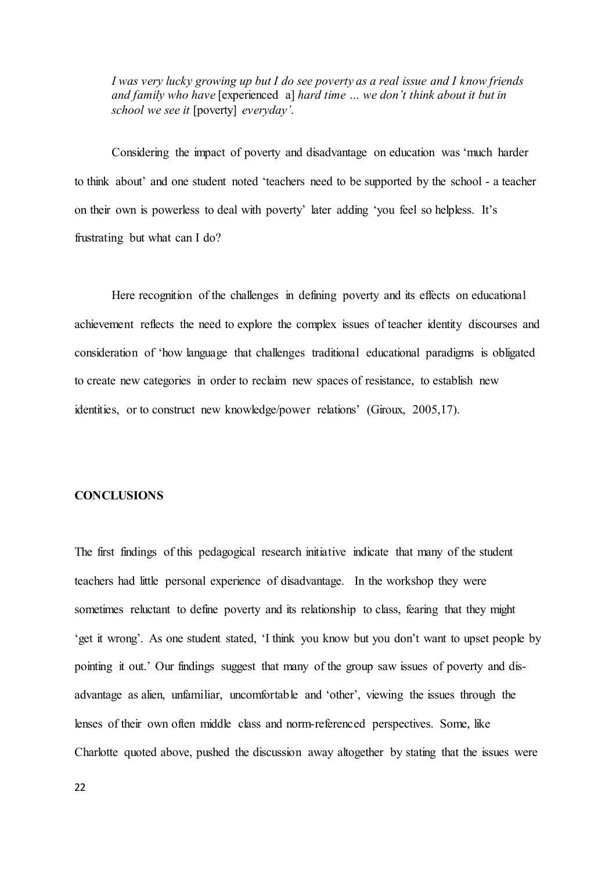*I was very lucky growing up but I do see poverty as a real issue and I know friends and family who have* [experienced a] *hard time … we don't think about it but in school we see it* [poverty] *everyday'*.

Considering the impact of poverty and disadvantage on education was 'much harder to think about' and one student noted 'teachers need to be supported by the school - a teacher on their own is powerless to deal with poverty' later adding 'you feel so helpless. It's frustrating but what can I do?

Here recognition of the challenges in defining poverty and its effects on educational achievement reflects the need to explore the complex issues of teacher identity discourses and consideration of 'how language that challenges traditional educational paradigms is obligated to create new categories in order to reclaim new spaces of resistance, to establish new identities, or to construct new knowledge/power relations' (Giroux, 2005,17).

# **CONCLUSIONS**

The first findings of this pedagogical research initiative indicate that many of the student teachers had little personal experience of disadvantage. In the workshop they were sometimes reluctant to define poverty and its relationship to class, fearing that they might 'get it wrong'. As one student stated, 'I think you know but you don't want to upset people by pointing it out.' Our findings suggest that many of the group saw issues of poverty and disadvantage as alien, unfamiliar, uncomfortable and 'other', viewing the issues through the lenses of their own often middle class and norm-referenced perspectives. Some, like Charlotte quoted above, pushed the discussion away altogether by stating that the issues were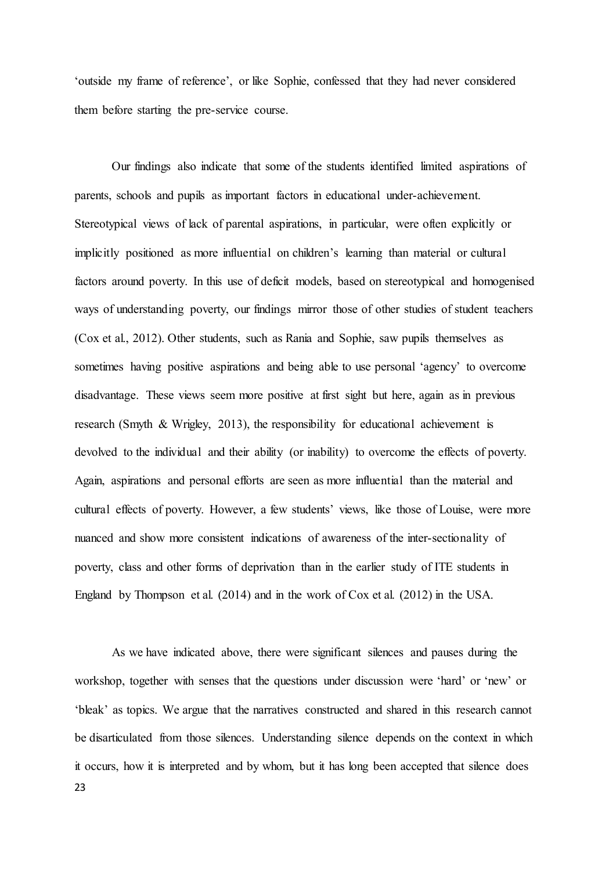'outside my frame of reference', or like Sophie, confessed that they had never considered them before starting the pre-service course.

Our findings also indicate that some of the students identified limited aspirations of parents, schools and pupils as important factors in educational under-achievement. Stereotypical views of lack of parental aspirations, in particular, were often explicitly or implicitly positioned as more influential on children's learning than material or cultural factors around poverty. In this use of deficit models, based on stereotypical and homogenised ways of understanding poverty, our findings mirror those of other studies of student teachers (Cox et al., 2012). Other students, such as Rania and Sophie, saw pupils themselves as sometimes having positive aspirations and being able to use personal 'agency' to overcome disadvantage. These views seem more positive at first sight but here, again as in previous research (Smyth & Wrigley, 2013), the responsibility for educational achievement is devolved to the individual and their ability (or inability) to overcome the effects of poverty. Again, aspirations and personal efforts are seen as more influential than the material and cultural effects of poverty. However, a few students' views, like those of Louise, were more nuanced and show more consistent indications of awareness of the inter-sectionality of poverty, class and other forms of deprivation than in the earlier study of ITE students in England by Thompson et al. (2014) and in the work of Cox et al. (2012) in the USA.

As we have indicated above, there were significant silences and pauses during the workshop, together with senses that the questions under discussion were 'hard' or 'new' or 'bleak' as topics. We argue that the narratives constructed and shared in this research cannot be disarticulated from those silences. Understanding silence depends on the context in which it occurs, how it is interpreted and by whom, but it has long been accepted that silence does 23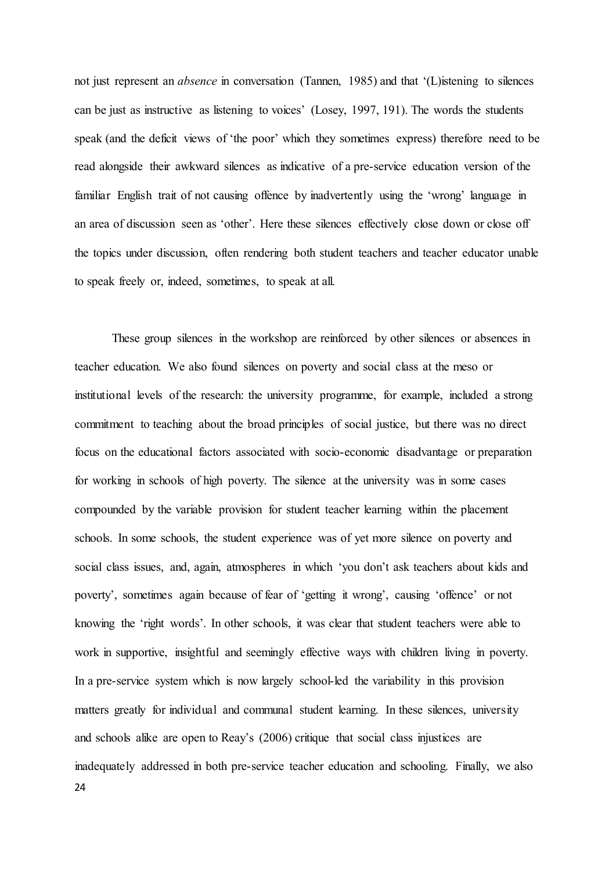not just represent an *absence* in conversation (Tannen, 1985) and that '(L)istening to silences can be just as instructive as listening to voices' (Losey, 1997, 191). The words the students speak (and the deficit views of 'the poor' which they sometimes express) therefore need to be read alongside their awkward silences as indicative of a pre-service education version of the familiar English trait of not causing offence by inadvertently using the 'wrong' language in an area of discussion seen as 'other'. Here these silences effectively close down or close off the topics under discussion, often rendering both student teachers and teacher educator unable to speak freely or, indeed, sometimes, to speak at all.

These group silences in the workshop are reinforced by other silences or absences in teacher education. We also found silences on poverty and social class at the meso or institutional levels of the research: the university programme, for example, included a strong commitment to teaching about the broad principles of social justice, but there was no direct focus on the educational factors associated with socio-economic disadvantage or preparation for working in schools of high poverty. The silence at the university was in some cases compounded by the variable provision for student teacher learning within the placement schools. In some schools, the student experience was of yet more silence on poverty and social class issues, and, again, atmospheres in which 'you don't ask teachers about kids and poverty', sometimes again because of fear of 'getting it wrong', causing 'offence' or not knowing the 'right words'. In other schools, it was clear that student teachers were able to work in supportive, insightful and seemingly effective ways with children living in poverty. In a pre-service system which is now largely school-led the variability in this provision matters greatly for individual and communal student learning. In these silences, university and schools alike are open to Reay's (2006) critique that social class injustices are inadequately addressed in both pre-service teacher education and schooling. Finally, we also 24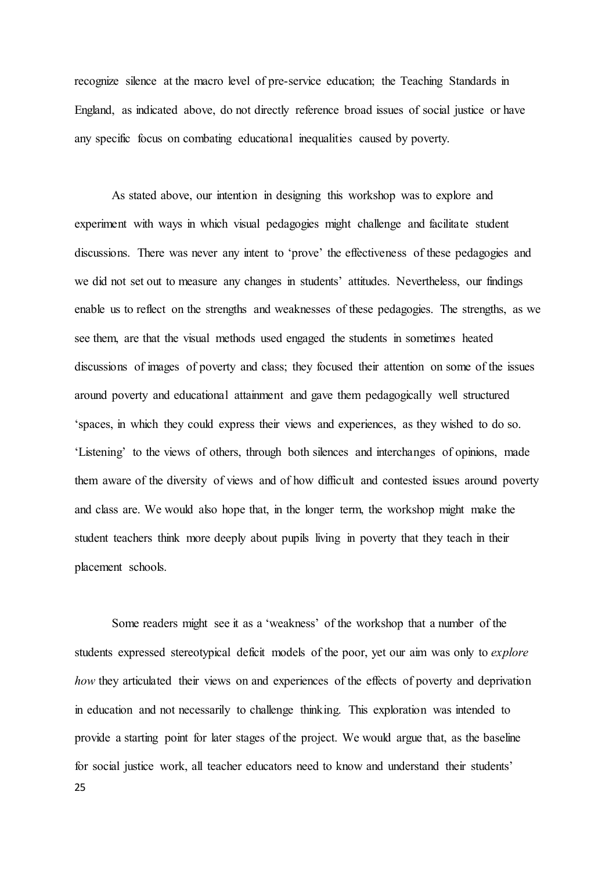recognize silence at the macro level of pre-service education; the Teaching Standards in England, as indicated above, do not directly reference broad issues of social justice or have any specific focus on combating educational inequalities caused by poverty.

As stated above, our intention in designing this workshop was to explore and experiment with ways in which visual pedagogies might challenge and facilitate student discussions. There was never any intent to 'prove' the effectiveness of these pedagogies and we did not set out to measure any changes in students' attitudes. Nevertheless, our findings enable us to reflect on the strengths and weaknesses of these pedagogies. The strengths, as we see them, are that the visual methods used engaged the students in sometimes heated discussions of images of poverty and class; they focused their attention on some of the issues around poverty and educational attainment and gave them pedagogically well structured 'spaces, in which they could express their views and experiences, as they wished to do so. 'Listening' to the views of others, through both silences and interchanges of opinions, made them aware of the diversity of views and of how difficult and contested issues around poverty and class are. We would also hope that, in the longer term, the workshop might make the student teachers think more deeply about pupils living in poverty that they teach in their placement schools.

Some readers might see it as a 'weakness' of the workshop that a number of the students expressed stereotypical deficit models of the poor, yet our aim was only to *explore how* they articulated their views on and experiences of the effects of poverty and deprivation in education and not necessarily to challenge thinking. This exploration was intended to provide a starting point for later stages of the project. We would argue that, as the baseline for social justice work, all teacher educators need to know and understand their students' 25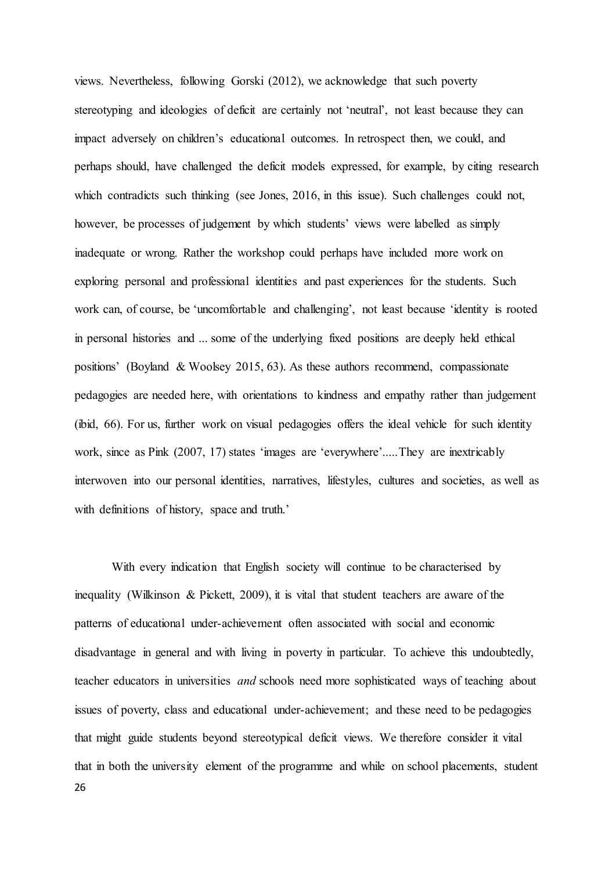views. Nevertheless, following Gorski (2012), we acknowledge that such poverty stereotyping and ideologies of deficit are certainly not 'neutral', not least because they can impact adversely on children's educational outcomes. In retrospect then, we could, and perhaps should, have challenged the deficit models expressed, for example, by citing research which contradicts such thinking (see Jones, 2016, in this issue). Such challenges could not, however, be processes of judgement by which students' views were labelled as simply inadequate or wrong. Rather the workshop could perhaps have included more work on exploring personal and professional identities and past experiences for the students. Such work can, of course, be 'uncomfortable and challenging', not least because 'identity is rooted in personal histories and ... some of the underlying fixed positions are deeply held ethical positions' (Boyland & Woolsey 2015, 63). As these authors recommend, compassionate pedagogies are needed here, with orientations to kindness and empathy rather than judgement (ibid, 66). For us, further work on visual pedagogies offers the ideal vehicle for such identity work, since as Pink (2007, 17) states 'images are 'everywhere'.....They are inextricably interwoven into our personal identities, narratives, lifestyles, cultures and societies, as well as with definitions of history, space and truth.'

With every indication that English society will continue to be characterised by inequality (Wilkinson & Pickett, 2009), it is vital that student teachers are aware of the patterns of educational under-achievement often associated with social and economic disadvantage in general and with living in poverty in particular. To achieve this undoubtedly, teacher educators in universities *and* schools need more sophisticated ways of teaching about issues of poverty, class and educational under-achievement; and these need to be pedagogies that might guide students beyond stereotypical deficit views. We therefore consider it vital that in both the university element of the programme and while on school placements, student 26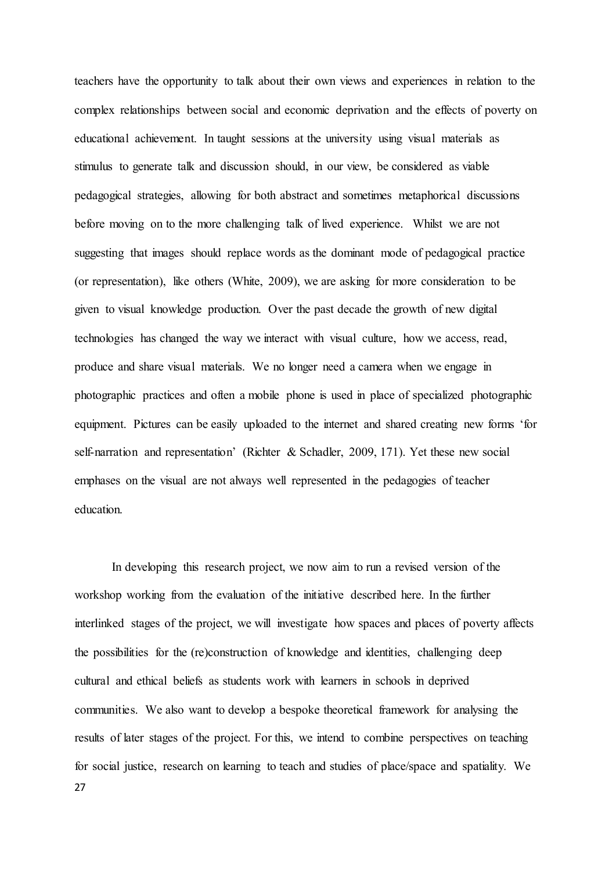teachers have the opportunity to talk about their own views and experiences in relation to the complex relationships between social and economic deprivation and the effects of poverty on educational achievement. In taught sessions at the university using visual materials as stimulus to generate talk and discussion should, in our view, be considered as viable pedagogical strategies, allowing for both abstract and sometimes metaphorical discussions before moving on to the more challenging talk of lived experience. Whilst we are not suggesting that images should replace words as the dominant mode of pedagogical practice (or representation), like others (White, 2009), we are asking for more consideration to be given to visual knowledge production. Over the past decade the growth of new digital technologies has changed the way we interact with visual culture, how we access, read, produce and share visual materials. We no longer need a camera when we engage in photographic practices and often a mobile phone is used in place of specialized photographic equipment. Pictures can be easily uploaded to the internet and shared creating new forms 'for self-narration and representation' (Richter & Schadler, 2009, 171). Yet these new social emphases on the visual are not always well represented in the pedagogies of teacher education.

In developing this research project, we now aim to run a revised version of the workshop working from the evaluation of the initiative described here. In the further interlinked stages of the project, we will investigate how spaces and places of poverty affects the possibilities for the (re)construction of knowledge and identities, challenging deep cultural and ethical beliefs as students work with learners in schools in deprived communities. We also want to develop a bespoke theoretical framework for analysing the results of later stages of the project. For this, we intend to combine perspectives on teaching for social justice, research on learning to teach and studies of place/space and spatiality. We 27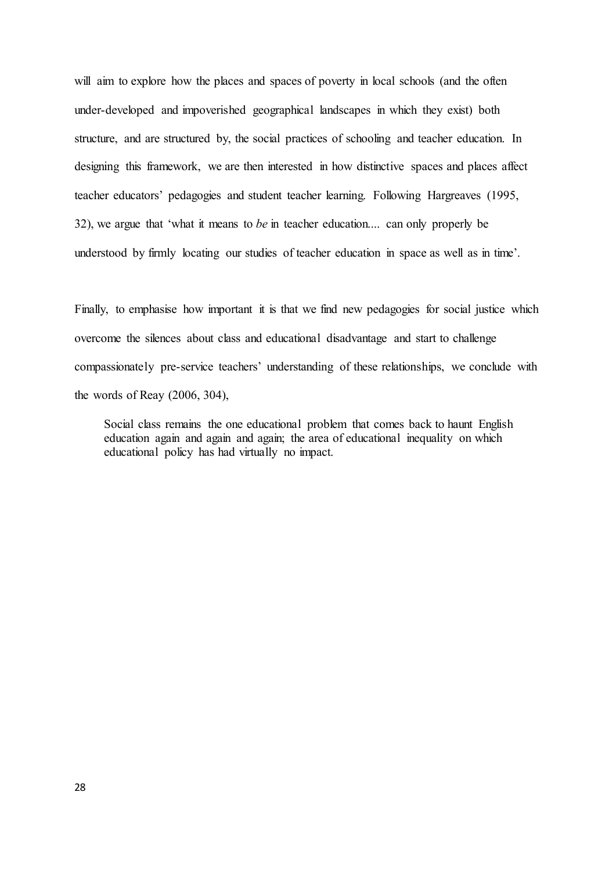will aim to explore how the places and spaces of poverty in local schools (and the often under-developed and impoverished geographical landscapes in which they exist) both structure, and are structured by, the social practices of schooling and teacher education. In designing this framework, we are then interested in how distinctive spaces and places affect teacher educators' pedagogies and student teacher learning. Following Hargreaves (1995, 32), we argue that 'what it means to *be* in teacher education.... can only properly be understood by firmly locating our studies of teacher education in space as well as in time'.

Finally, to emphasise how important it is that we find new pedagogies for social justice which overcome the silences about class and educational disadvantage and start to challenge compassionately pre-service teachers' understanding of these relationships, we conclude with the words of Reay (2006, 304),

Social class remains the one educational problem that comes back to haunt English education again and again and again; the area of educational inequality on which educational policy has had virtually no impact.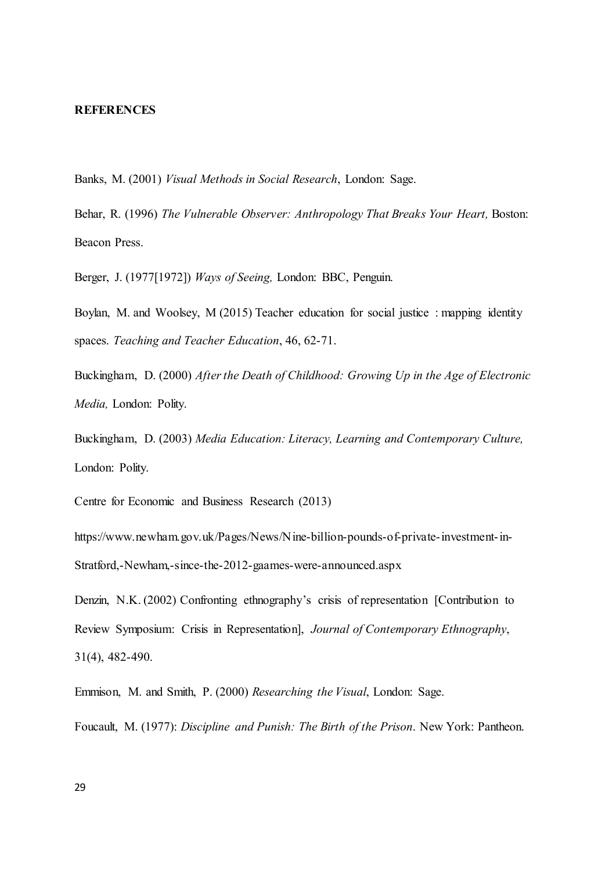#### **REFERENCES**

Banks, M. (2001) *Visual Methods in Social Research*, London: Sage.

Behar, R. (1996) *The Vulnerable Observer: Anthropology That Breaks Your Heart,* Boston: Beacon Press.

Berger, J. (1977[1972]) *Ways of Seeing,* London: BBC, Penguin.

Boylan, M. and Woolsey, M (2015) Teacher education for social justice : mapping identity spaces. *Teaching and Teacher Education*, 46, 62-71.

Buckingham, D. (2000) *After the Death of Childhood: Growing Up in the Age of Electronic Media,* London: Polity.

Buckingham, D. (2003) *Media Education: Literacy, Learning and Contemporary Culture,* London: Polity.

Centre for Economic and Business Research (2013)

https://www.newham.gov.uk/Pages/News/Nine-billion-pounds-of-private-investment-in-Stratford,-Newham,-since-the-2012-gaames-were-announced.aspx

Denzin, N.K. (2002) Confronting ethnography's crisis of representation [Contribution to Review Symposium: Crisis in Representation], *Journal of Contemporary Ethnography*, 31(4), 482-490.

Emmison, M. and Smith, P. (2000) *Researching the Visual*, London: Sage.

Foucault, M. (1977): *Discipline and Punish: The Birth of the Prison*. New York: Pantheon.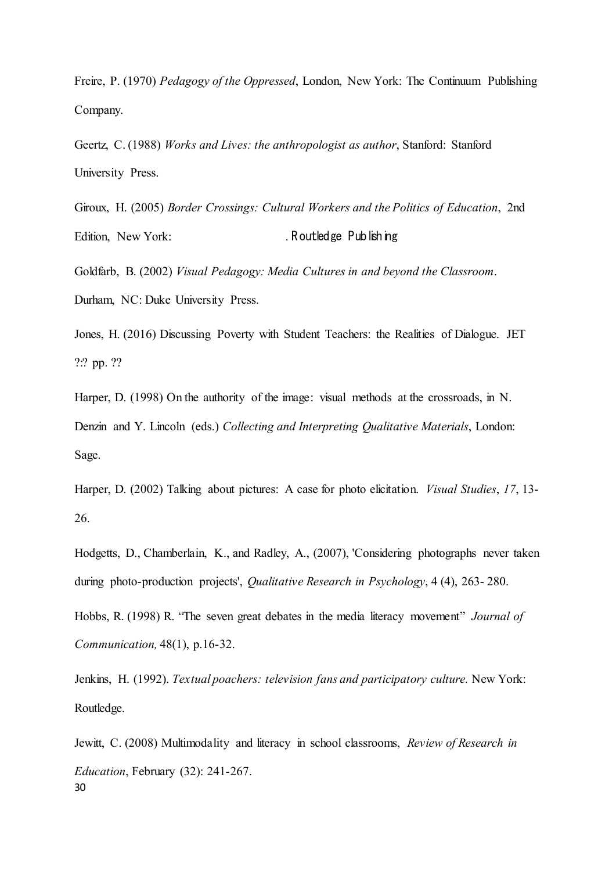Freire, P. (1970) *Pedagogy of the Oppressed*, London, New York: The Continuum Publishing Company.

Geertz, C. (1988) *Works and Lives: the anthropologist as author*, Stanford: Stanford University Press.

Giroux, H. (2005) *Border Crossings: Cultural Workers and the Politics of Education*, 2nd Edition, New York: . Routledge Publishing

Goldfarb, B. (2002) *Visual Pedagogy: Media Cultures in and beyond the Classroom*. Durham, NC: Duke University Press.

Jones, H. (2016) Discussing Poverty with Student Teachers: the Realities of Dialogue. JET ?:? pp. ??

Harper, D. (1998) On the authority of the image: visual methods at the crossroads, in N. Denzin and Y. Lincoln (eds.) *Collecting and Interpreting Qualitative Materials*, London: Sage.

Harper, D. (2002) Talking about pictures: A case for photo elicitation. *Visual Studies*, *17*, 13- 26.

Hodgetts, D., Chamberlain, K., and Radley, A., (2007), 'Considering photographs never taken during photo-production projects', *Qualitative Research in Psychology*, 4 (4), 263- 280.

Hobbs, R. (1998) R. "The seven great debates in the media literacy movement" *Journal of Communication,* 48(1), p.16-32.

Jenkins, H. (1992). *Textual poachers: television fans and participatory culture.* New York: Routledge.

Jewitt, C. (2008) Multimodality and literacy in school classrooms, *Review of Research in Education*, February (32): 241-267. 30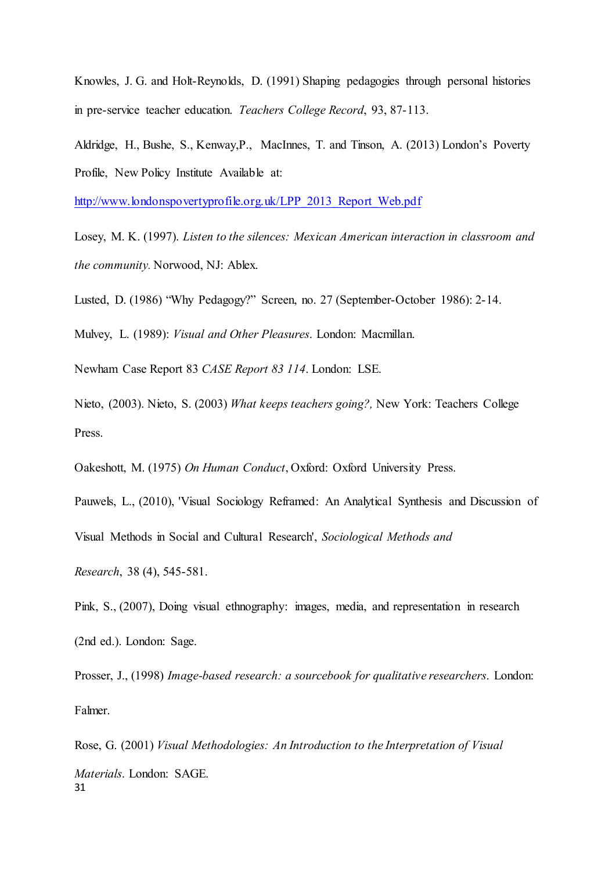Knowles, J. G. and Holt-Reynolds, D. (1991) Shaping pedagogies through personal histories in pre-service teacher education. *Teachers College Record*, 93, 87-113.

Aldridge, H., Bushe, S., Kenway,P., MacInnes, T. and Tinson, A. (2013) London's Poverty Profile, New Policy Institute Available at:

[http://www.londonspovertyprofile.org.uk/LPP\\_2013\\_Report\\_Web.pdf](http://www.londonspovertyprofile.org.uk/LPP_2013_Report_Web.pdf)

Losey, M. K. (1997). *Listen to the silences: Mexican American interaction in classroom and the community.* Norwood, NJ: Ablex.

Lusted, D. (1986) "Why Pedagogy?" Screen, no. 27 (September-October 1986): 2-14.

Mulvey, L. (1989): *Visual and Other Pleasures*. London: Macmillan.

Newham Case Report 83 *CASE Report 83 114*. London: LSE.

Nieto, (2003). Nieto, S. (2003) *What keeps teachers going?,* New York: Teachers College Press.

Oakeshott, M. (1975) *On Human Conduct*, Oxford: Oxford University Press.

Pauwels, L., (2010), 'Visual Sociology Reframed: An Analytical Synthesis and Discussion of

Visual Methods in Social and Cultural Research', *Sociological Methods and*

*Research*, 38 (4), 545-581.

Pink, S., (2007), Doing visual ethnography: images, media, and representation in research

(2nd ed.). London: Sage.

Prosser, J., (1998) *Image-based research: a sourcebook for qualitative researchers*. London: Falmer.

Rose, G. (2001) *Visual Methodologies: An Introduction to the Interpretation of Visual Materials*. London: SAGE. 31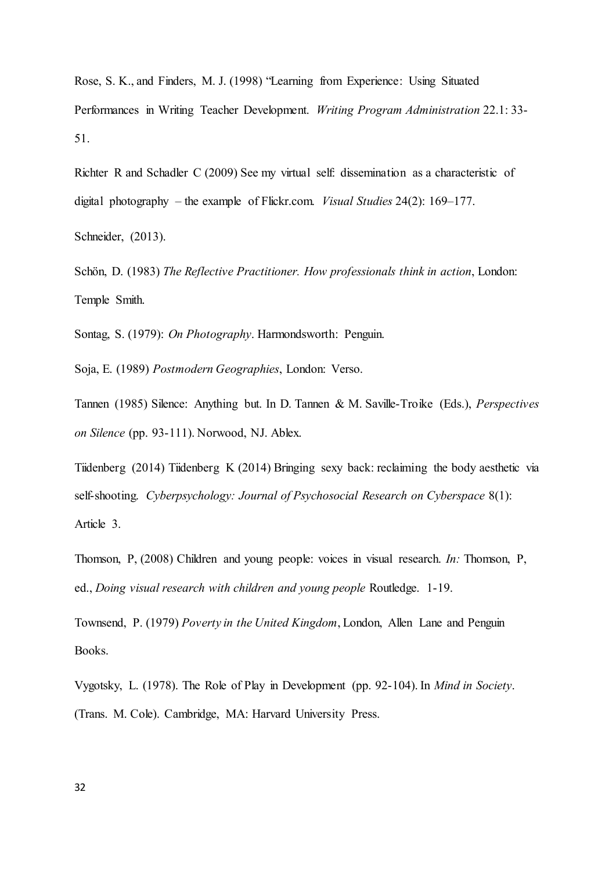Rose, S. K., and Finders, M. J. (1998) "Learning from Experience: Using Situated Performances in Writing Teacher Development. *Writing Program Administration* 22.1: 33- 51.

Richter R and Schadler C (2009) See my virtual self: dissemination as a characteristic of digital photography – the example of Flickr.com. *Visual Studies* 24(2): 169–177.

Schneider, (2013).

Schön, D. (1983) *The Reflective Practitioner. How professionals think in action*, London: Temple Smith.

Sontag, S. (1979): *On Photography*. Harmondsworth: Penguin.

Soja, E. (1989) *Postmodern Geographies*, London: Verso.

Tannen (1985) Silence: Anything but. In D. Tannen & M. Saville-Troike (Eds.), *Perspectives on Silence* (pp. 93-111). Norwood, NJ. Ablex.

Tiidenberg (2014) Tiidenberg K (2014) Bringing sexy back: reclaiming the body aesthetic via self-shooting. *Cyberpsychology: Journal of Psychosocial Research on Cyberspace* 8(1): Article 3.

Thomson, P, (2008) Children and young people: voices in visual research. *In:* Thomson, P, ed., *Doing visual research with children and young people* Routledge. 1-19.

Townsend, P. (1979) *Poverty in the United Kingdom*, London, Allen Lane and Penguin Books.

Vygotsky, L. (1978). The Role of Play in Development (pp. 92-104). In *Mind in Society*. (Trans. M. Cole). Cambridge, MA: Harvard University Press.